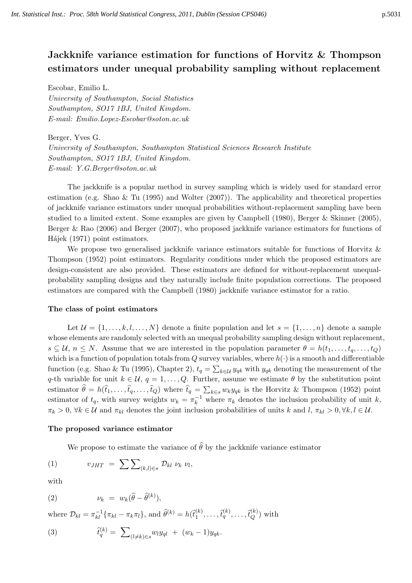# Jackknife variance estimation for functions of Horvitz & Thompson estimators under unequal probability sampling without replacement

Escobar, Emilio L.

University of Southampton, Social Statistics Southampton, SO17 1BJ, United Kingdom. E-mail: Emilio.Lopez-Escobar@soton.ac.uk

Berger, Yves G. University of Southampton, Southampton Statistical Sciences Research Institute Southampton, SO17 1BJ, United Kingdom. E-mail: Y.G.Berger@soton.ac.uk

The jackknife is a popular method in survey sampling which is widely used for standard error estimation (e.g. Shao & Tu (1995) and Wolter (2007)). The applicability and theoretical properties of jackknife variance estimators under unequal probabilities without-replacement sampling have been studied to a limited extent. Some examples are given by Campbell (1980), Berger & Skinner (2005), Berger & Rao (2006) and Berger (2007), who proposed jackknife variance estimators for functions of Hájek (1971) point estimators.

We propose two generalised jackknife variance estimators suitable for functions of Horvitz  $\&$ Thompson (1952) point estimators. Regularity conditions under which the proposed estimators are design-consistent are also provided. These estimators are defined for without-replacement unequalprobability sampling designs and they naturally include finite population corrections. The proposed estimators are compared with the Campbell (1980) jackknife variance estimator for a ratio.

## The class of point estimators

Let  $\mathcal{U} = \{1, \ldots, k, l, \ldots, N\}$  denote a finite population and let  $s = \{1, \ldots, n\}$  denote a sample whose elements are randomly selected with an unequal probability sampling design without replacement,  $s \subseteq \mathcal{U}, n \leq N$ . Assume that we are interested in the population parameter  $\theta = h(t_1, \ldots, t_q, \ldots, t_Q)$ which is a function of population totals from Q survey variables, where  $h(\cdot)$  is a smooth and differentiable function (e.g. Shao & Tu (1995), Chapter 2),  $t_q = \sum_{k \in \mathcal{U}} y_{qk}$  with  $y_{qk}$  denoting the measurement of the q-th variable for unit  $k \in \mathcal{U}$ ,  $q = 1, \ldots, Q$ . Further, assume we estimate  $\theta$  by the substitution point estimator  $\theta = h(t_1, \ldots, t_q, \ldots, t_Q)$  where  $t_q = \sum_{k \in s} w_k y_{qk}$  is the Horvitz & Thompson (1952) point estimator of  $t_q$ , with survey weights  $w_k = \pi_k^{-1}$  where  $\pi_k$  denotes the inclusion probability of unit k,  $\pi_k > 0$ ,  $\forall k \in \mathcal{U}$  and  $\pi_{kl}$  denotes the joint inclusion probabilities of units k and  $l, \pi_{kl} > 0, \forall k, l \in \mathcal{U}$ .

## The proposed variance estimator

We propose to estimate the variance of  $\widehat{\theta}$  by the jackknife variance estimator

$$
(1) \t v_{JHT} = \sum \sum_{(k,l)\in s} \mathcal{D}_{kl} \nu_k \nu_l,
$$

with

$$
(2) \t\t \nu_k = w_k(\widehat{\theta} - \widehat{\theta}^{(k)}),
$$

where  $\mathcal{D}_{kl} = \pi_{kl}^{-1} \{ \pi_{kl} - \pi_k \pi_l \}$ , and  $\widehat{\theta}^{(k)} = h(\widehat{t}_1^{(k)})$  $\mathcal{H}_1^{(k)}, \ldots, \mathcal{t}_q^{(k)}, \ldots, \mathcal{t}_Q^{(k)}$  with

(3) 
$$
\hat{t}_q^{(k)} = \sum_{(l \neq k) \in s} w_l y_{ql} + (w_k - 1) y_{qk}.
$$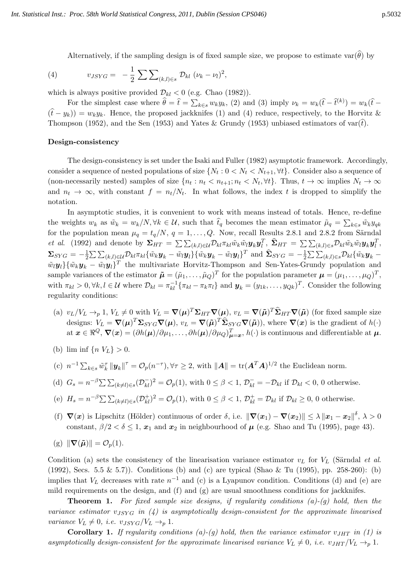Alternatively, if the sampling design is of fixed sample size, we propose to estimate var $(\hat{\theta})$  by

(4) 
$$
v_{JSYG} = -\frac{1}{2} \sum \sum_{(k,l) \in s} \mathcal{D}_{kl} (\nu_k - \nu_l)^2
$$
,

which is always positive provided  $\mathcal{D}_{kl} < 0$  (e.g. Chao (1982)).

For the simplest case where  $\hat{\theta} = \hat{t} = \sum_{k \in s} w_k y_k$ , (2) and (3) imply  $\nu_k = w_k(\hat{t} - \hat{t}^{(k)}) = w_k(\hat{t} - \hat{t}^{(k)})$  $(\hat{t} - y_k) = w_k y_k$ . Hence, the proposed jackknifes (1) and (4) reduce, respectively, to the Horvitz & Thompson (1952), and the Sen (1953) and Yates & Grundy (1953) unbiased estimators of  $var(t)$ .

#### Design-consistency

The design-consistency is set under the Isaki and Fuller (1982) asymptotic framework. Accordingly, consider a sequence of nested populations of size  $\{N_t: 0 < N_t < N_{t+1}, \forall t\}$ . Consider also a sequence of (non-necessarily nested) samples of size  $\{n_t : n_t < n_{t+1} : n_t < N_t, \forall t\}$ . Thus,  $t \to \infty$  implies  $N_t \to \infty$ and  $n_t \to \infty$ , with constant  $f = n_t/N_t$ . In what follows, the index t is dropped to simplify the notation.

In asymptotic studies, it is convenient to work with means instead of totals. Hence, re-define the weights  $w_k$  as  $\tilde{w}_k = w_k/N$ ,  $\forall k \in \mathcal{U}$ , such that  $\hat{t}_q$  becomes the mean estimator  $\tilde{\mu}_q = \sum_{k \in s} \tilde{w}_k y_{qk}$ for the population mean  $\mu_q = t_q/N$ ,  $q = 1, \ldots, Q$ . Now, recall Results 2.8.1 and 2.8.2 from Särndal *et al.* (1992) and denote by  $\Sigma_{HT} = \sum \sum_{(k,l)\in\mathcal{U}} \mathcal{D}_{kl} \pi_{kl} \tilde{w}_k \tilde{w}_l \mathbf{y}_k \mathbf{y}_l^T$ ,  $\hat{\Sigma}_{HT} = \sum \sum_{(k,l)\in\mathcal{S}} \mathcal{D}_{kl} \tilde{w}_k \tilde{w}_l \mathbf{y}_k \mathbf{y}_l^T$ ,  $\Sigma_{SYG} = -\frac{1}{2}$  $\frac{1}{2}\sum \sum_{(k,l)\in\mathcal{U}}\mathcal{D}_{kl}\pi_{kl}\{\tilde{w}_k\boldsymbol{y}_k-\tilde{w}_l\boldsymbol{y}_l\}\{\tilde{w}_k\boldsymbol{y}_k-\tilde{w}_l\boldsymbol{y}_l\}^T \text{ and } \widehat{\boldsymbol{\Sigma}}_{SYG}=-\frac{1}{2}$  $\frac{1}{2}\sum \sum_{(k,l)\in s}\mathcal{D}_{kl}\{\tilde{w}_k\bm{y}_k \tilde{w}_l \mathbf{y}_l \} \{\tilde{w}_k \mathbf{y}_k - \tilde{w}_l \mathbf{y}_l\}^T$  the multivariate Horvitz-Thompson and Sen-Yates-Grundy population and sample variances of the estimator  $\tilde{\boldsymbol{\mu}} = (\tilde{\mu}_1, \dots, \tilde{\mu}_Q)^T$  for the population parameter  $\boldsymbol{\mu} = (\mu_1, \dots, \mu_Q)^T$ , with  $\pi_{kl} > 0, \forall k, l \in \mathcal{U}$  where  $\mathcal{D}_{kl} = \pi_{kl}^{-1} \{ \pi_{kl} - \pi_k \pi_l \}$  and  $\mathbf{y}_k = (y_{1k}, \dots, y_{Qk})^T$ . Consider the following regularity conditions:

- (a)  $v_L/V_L \rightarrow_p 1$ ,  $V_L \neq 0$  with  $V_L = \nabla(\mu)^T \Sigma_{HT} \nabla(\mu)$ ,  $v_L = \nabla(\tilde{\mu})^T \hat{\Sigma}_{HT} \nabla(\tilde{\mu})$  (for fixed sample size designs:  $V_L = \nabla(\mu)^T \Sigma_{SYG} \nabla(\mu)$ ,  $v_L = \nabla(\tilde{\mu})^T \hat{\Sigma}_{SYG} \nabla(\tilde{\mu})$ , where  $\nabla(x)$  is the gradient of  $h(\cdot)$ at  $\boldsymbol{x} \in \Re^Q$ ,  $\nabla(\boldsymbol{x}) = (\partial h(\boldsymbol{\mu})/\partial \mu_1, \dots, \partial h(\boldsymbol{\mu})/\partial \mu_Q)_{\boldsymbol{\mu} = \boldsymbol{x}}^T$ ,  $h(\cdot)$  is continuous and differentiable at  $\boldsymbol{\mu}$ .
- (b) lim inf  $\{n \, V_L\} > 0$ .
- (c)  $n^{-1} \sum_{k \in s} \tilde{w}_k^{\tau} ||\mathbf{y}_k||^{\tau} = \mathcal{O}_p(n^{-\tau}), \forall \tau \geq 2$ , with  $||\mathbf{A}|| = \text{tr}(\mathbf{A}^T \mathbf{A})^{1/2}$  the Euclidean norm.
- (d)  $G_s = n^{-\beta} \sum \sum_{(k \neq l) \in s} (\mathcal{D}_{kl}^{-})^2 = \mathcal{O}_p(1)$ , with  $0 \leq \beta < 1$ ,  $\mathcal{D}_{kl}^{-} = -\mathcal{D}_{kl}$  if  $\mathcal{D}_{kl} < 0$ , 0 otherwise.
- (e)  $H_s = n^{-\beta} \sum \sum_{(k \neq l) \in s} (\mathcal{D}_{kl}^+)^2 = \mathcal{O}_p(1)$ , with  $0 \leq \beta < 1$ ,  $\mathcal{D}_{kl}^+ = \mathcal{D}_{kl}$  if  $\mathcal{D}_{kl} \geq 0$ , 0 otherwise.
- (f)  $\nabla(x)$  is Lipschitz (Hölder) continuous of order  $\delta$ , i.e.  $\|\nabla(x_1) \nabla(x_2)\| \leq \lambda \|x_1 x_2\|^{\delta}, \lambda > 0$ constant,  $\beta/2 < \delta \leq 1$ ,  $x_1$  and  $x_2$  in neighbourhood of  $\mu$  (e.g. Shao and Tu (1995), page 43).

$$
(g) \|\nabla(\tilde{\boldsymbol{\mu}})\| = \mathcal{O}_p(1).
$$

Condition (a) sets the consistency of the linearisation variance estimator  $v<sub>L</sub>$  for  $V<sub>L</sub>$  (Särndal et al. (1992), Secs. 5.5 & 5.7)). Conditions (b) and (c) are typical (Shao & Tu (1995), pp. 258-260): (b) implies that  $V_L$  decreases with rate  $n^{-1}$  and (c) is a Lyapunov condition. Conditions (d) and (e) are mild requirements on the design, and (f) and (g) are usual smoothness conditions for jackknifes.

**Theorem 1.** For fixed sample size designs, if regularity conditions  $(a)-(g)$  hold, then the variance estimator  $v_{JSYG}$  in (4) is asymptotically design-consistent for the approximate linearised variance  $V_L \neq 0$ , i.e.  $v_{JSYG}/V_L \rightarrow_p 1$ .

**Corollary 1.** If regularity conditions (a)-(g) hold, then the variance estimator  $v_{JHT}$  in (1) is asymptotically design-consistent for the approximate linearised variance  $V_L \neq 0$ , i.e.  $v_{JHT}/V_L \rightarrow_p 1$ .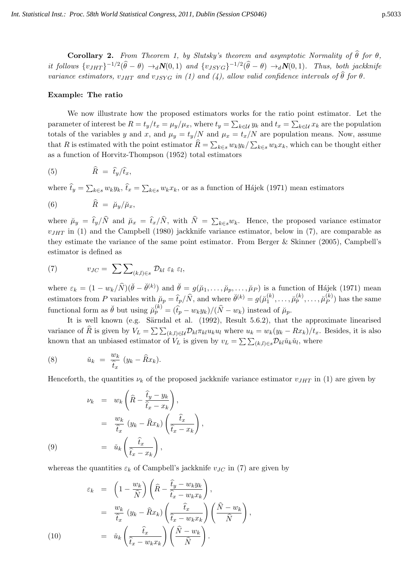**Corollary 2.** From Theorem 1, by Slutsky's theorem and asymptotic Normality of  $\hat{\theta}$  for  $\theta$ , it follows  $\{v_{JHT}\}^{-1/2}(\widehat{\theta}-\theta) \rightarrow_d N(0,1)$  and  $\{v_{JSYG}\}^{-1/2}(\widehat{\theta}-\theta) \rightarrow_d N(0,1)$ . Thus, both jackknife variance estimators,  $v_{JHT}$  and  $v_{JSYG}$  in (1) and (4), allow valid confidence intervals of  $\hat{\theta}$  for  $\theta$ .

# Example: The ratio

We now illustrate how the proposed estimators works for the ratio point estimator. Let the parameter of interest be  $R = t_y/t_x = \mu_y/\mu_x$ , where  $t_y = \sum_{k \in \mathcal{U}} y_k$  and  $t_x = \sum_{k \in \mathcal{U}} x_k$  are the population totals of the variables y and x, and  $\mu_y = t_y/N$  and  $\mu_x = t_x/N$  are population means. Now, assume that R is estimated with the point estimator  $R = \sum_{k \in s} w_k y_k / \sum_{k \in s} w_k x_k$ , which can be thought either as a function of Horvitz-Thompson (1952) total estimators

$$
(5) \hspace{1cm} \widehat{R} \hspace{1mm} = \hspace{1mm} \widehat{t}_y/\widehat{t}_x,
$$

where  $\hat{t}_y = \sum_{k \in s} w_k y_k$ ,  $\hat{t}_x = \sum_{k \in s} w_k x_k$ , or as a function of Hájek (1971) mean estimators

$$
(6) \hspace{1cm} \hat{R} = \breve{\mu}_y/\breve{\mu}_x,
$$

where  $\mu_y = t_y/N$  and  $\mu_x = t_x/N$ , with  $N = \sum_{k \in s} w_k$ . Hence, the proposed variance estimator  $v_{JHT}$  in (1) and the Campbell (1980) jackknife variance estimator, below in (7), are comparable as they estimate the variance of the same point estimator. From Berger & Skinner (2005), Campbell's estimator is defined as

(7) 
$$
v_{JC} = \sum \sum_{(k,l) \in s} \mathcal{D}_{kl} \varepsilon_k \varepsilon_l,
$$

where  $\varepsilon_k = (1 - w_k/\hat{N})(\check{\theta} - \check{\theta}^{(k)})$  and  $\check{\theta} = g(\check{\mu}_1, \dots, \check{\mu}_p, \dots, \check{\mu}_P)$  is a function of Hájek (1971) mean estimators from P variables with  $\mu_p = \hat{t}_p/\hat{N}$ , and where  $\check{\theta}^{(k)} = g(\check{\mu}_1^{(k)})$  $\widetilde{\mu}_1^{(k)},\ldots,\widetilde{\mu}_p^{(k)},\ldots,\widetilde{\mu}_P^{(k)}$  $\binom{K}{P}$  has the same functional form as  $\check{\theta}$  but using  $\check{\mu}_p^{(k)} = (\hat{t}_p - w_k y_k)/(\hat{N} - w_k)$  instead of  $\check{\mu}_p$ .

It is well known (e.g. Särndal et al.  $(1992)$ , Result 5.6.2), that the approximate linearised variance of R is given by  $V_L = \sum \sum_{(k,l)\in\mathcal{U}} \mathcal{D}_{kl} \pi_{kl} u_k u_l$  where  $u_k = w_k(y_k - Rx_k)/t_x$ . Besides, it is also known that an unbiased estimator of  $V_L$  is given by  $v_L = \sum \sum_{(k,l) \in s} \mathcal{D}_{kl} \check{u}_k \check{u}_l$ , where

(8) 
$$
\check{u}_k = \frac{w_k}{\hat{t}_x} (y_k - \hat{R}x_k).
$$

Henceforth, the quantities  $\nu_k$  of the proposed jackknife variance estimator  $v_{JHT}$  in (1) are given by

$$
\nu_k = w_k \left( \hat{R} - \frac{\hat{t}_y - y_k}{\hat{t}_x - x_k} \right),
$$
  

$$
= \frac{w_k}{\hat{t}_x} (y_k - \hat{R}x_k) \left( \frac{\hat{t}_x}{\hat{t}_x - x_k} \right),
$$
  
(9)  

$$
= \check{u}_k \left( \frac{\hat{t}_x}{\hat{t}_x - x_k} \right),
$$

whereas the quantities  $\varepsilon_k$  of Campbell's jackknife  $v_{JC}$  in (7) are given by

$$
\varepsilon_{k} = \left(1 - \frac{w_{k}}{\hat{N}}\right) \left(\hat{R} - \frac{\hat{t}_{y} - w_{k}y_{k}}{\hat{t}_{x} - w_{k}x_{k}}\right),
$$
\n
$$
= \frac{w_{k}}{\hat{t}_{x}} \left(y_{k} - \hat{R}x_{k}\right) \left(\frac{\hat{t}_{x}}{\hat{t}_{x} - w_{k}x_{k}}\right) \left(\frac{\hat{N} - w_{k}}{\hat{N}}\right),
$$
\n
$$
(10) \qquad = \check{u}_{k}\left(\frac{\hat{t}_{x}}{\hat{t}_{x} - w_{k}x_{k}}\right) \left(\frac{\hat{N} - w_{k}}{\hat{N}}\right).
$$